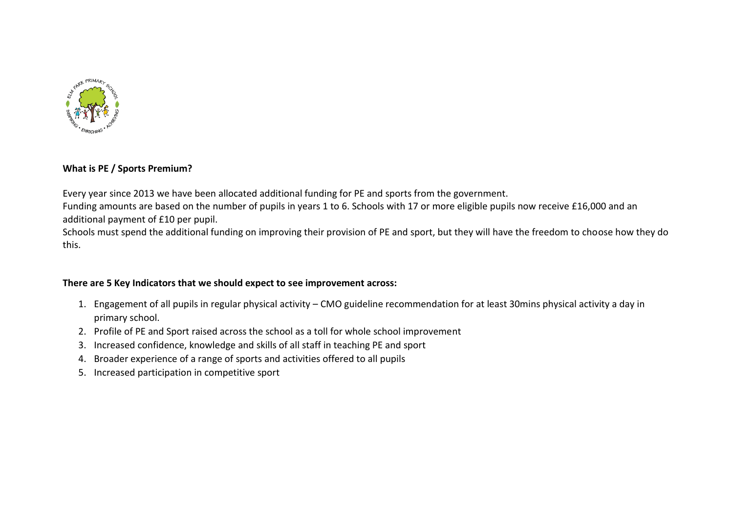

### **What is PE / Sports Premium?**

Every year since 2013 we have been allocated additional funding for PE and sports from the government.

Funding amounts are based on the number of pupils in years 1 to 6. Schools with 17 or more eligible pupils now receive £16,000 and an additional payment of £10 per pupil.

Schools must spend the additional funding on improving their provision of PE and sport, but they will have the freedom to choose how they do this.

## **There are 5 Key Indicators that we should expect to see improvement across:**

- 1. Engagement of all pupils in regular physical activity CMO guideline recommendation for at least 30mins physical activity a day in primary school.
- 2. Profile of PE and Sport raised across the school as a toll for whole school improvement
- 3. Increased confidence, knowledge and skills of all staff in teaching PE and sport
- 4. Broader experience of a range of sports and activities offered to all pupils
- 5. Increased participation in competitive sport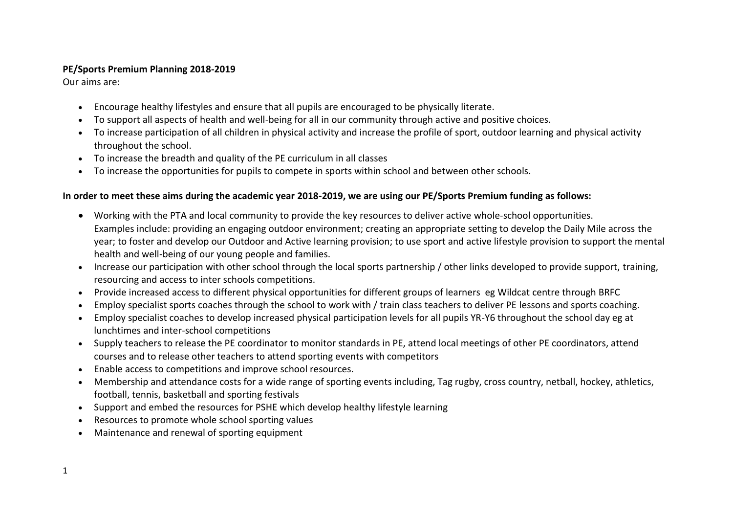## **PE/Sports Premium Planning 2018-2019**

Our aims are:

- Encourage healthy lifestyles and ensure that all pupils are encouraged to be physically literate.
- To support all aspects of health and well-being for all in our community through active and positive choices.
- To increase participation of all children in physical activity and increase the profile of sport, outdoor learning and physical activity throughout the school.
- To increase the breadth and quality of the PE curriculum in all classes
- To increase the opportunities for pupils to compete in sports within school and between other schools.

## **In order to meet these aims during the academic year 2018-2019, we are using our PE/Sports Premium funding as follows:**

- Working with the PTA and local community to provide the key resources to deliver active whole-school opportunities. Examples include: providing an engaging outdoor environment; creating an appropriate setting to develop the Daily Mile across the year; to foster and develop our Outdoor and Active learning provision; to use sport and active lifestyle provision to support the mental health and well-being of our young people and families.
- Increase our participation with other school through the local sports partnership / other links developed to provide support, training, resourcing and access to inter schools competitions.
- Provide increased access to different physical opportunities for different groups of learners eg Wildcat centre through BRFC
- Employ specialist sports coaches through the school to work with / train class teachers to deliver PE lessons and sports coaching.
- Employ specialist coaches to develop increased physical participation levels for all pupils YR-Y6 throughout the school day eg at lunchtimes and inter-school competitions
- Supply teachers to release the PE coordinator to monitor standards in PE, attend local meetings of other PE coordinators, attend courses and to release other teachers to attend sporting events with competitors
- Enable access to competitions and improve school resources.
- Membership and attendance costs for a wide range of sporting events including, Tag rugby, cross country, netball, hockey, athletics, football, tennis, basketball and sporting festivals
- Support and embed the resources for PSHE which develop healthy lifestyle learning
- Resources to promote whole school sporting values
- Maintenance and renewal of sporting equipment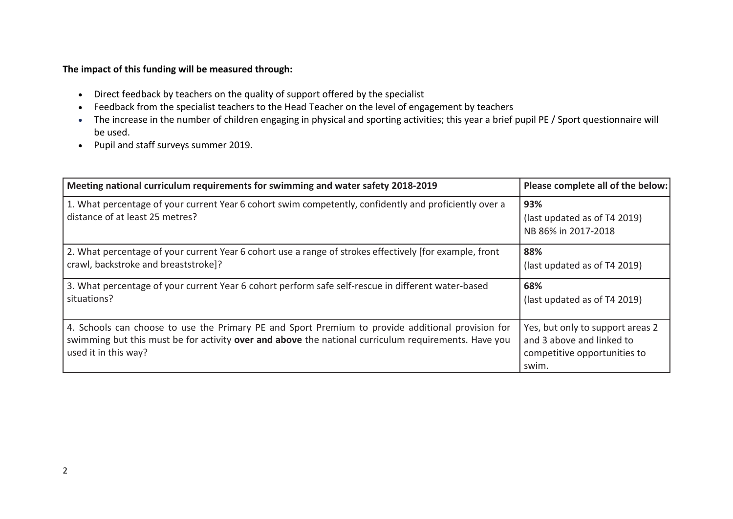# **The impact of this funding will be measured through:**

- Direct feedback by teachers on the quality of support offered by the specialist
- Feedback from the specialist teachers to the Head Teacher on the level of engagement by teachers
- The increase in the number of children engaging in physical and sporting activities; this year a brief pupil PE / Sport questionnaire will be used.
- Pupil and staff surveys summer 2019.

| Meeting national curriculum requirements for swimming and water safety 2018-2019                                                                                                                                                  | Please complete all of the below:                                                                      |
|-----------------------------------------------------------------------------------------------------------------------------------------------------------------------------------------------------------------------------------|--------------------------------------------------------------------------------------------------------|
| 1. What percentage of your current Year 6 cohort swim competently, confidently and proficiently over a<br>distance of at least 25 metres?                                                                                         | 93%<br>(last updated as of T4 2019)<br>NB 86% in 2017-2018                                             |
| 2. What percentage of your current Year 6 cohort use a range of strokes effectively [for example, front<br>crawl, backstroke and breaststroke]?                                                                                   | 88%<br>(last updated as of T4 2019)                                                                    |
| 3. What percentage of your current Year 6 cohort perform safe self-rescue in different water-based<br>situations?                                                                                                                 | 68%<br>(last updated as of T4 2019)                                                                    |
| 4. Schools can choose to use the Primary PE and Sport Premium to provide additional provision for<br>swimming but this must be for activity over and above the national curriculum requirements. Have you<br>used it in this way? | Yes, but only to support areas 2<br>and 3 above and linked to<br>competitive opportunities to<br>swim. |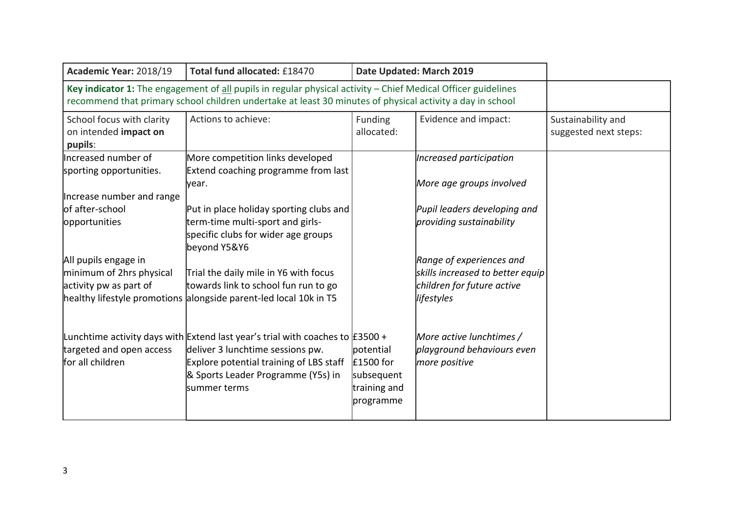| Academic Year: 2018/19                                                                                                                                                                                                     | Total fund allocated: £18470<br>Date Updated: March 2019                                                                                                                                                           |                                                                   |                                                                                                          |                                             |
|----------------------------------------------------------------------------------------------------------------------------------------------------------------------------------------------------------------------------|--------------------------------------------------------------------------------------------------------------------------------------------------------------------------------------------------------------------|-------------------------------------------------------------------|----------------------------------------------------------------------------------------------------------|---------------------------------------------|
| Key indicator 1: The engagement of all pupils in regular physical activity - Chief Medical Officer guidelines<br>recommend that primary school children undertake at least 30 minutes of physical activity a day in school |                                                                                                                                                                                                                    |                                                                   |                                                                                                          |                                             |
| School focus with clarity<br>on intended impact on<br>pupils:                                                                                                                                                              | Actions to achieve:                                                                                                                                                                                                | Funding<br>allocated:                                             | Evidence and impact:                                                                                     | Sustainability and<br>suggested next steps: |
| Increased number of<br>sporting opportunities.                                                                                                                                                                             | More competition links developed<br>Extend coaching programme from last<br>lyear.                                                                                                                                  |                                                                   | Increased participation<br>More age groups involved                                                      |                                             |
| Increase number and range<br>of after-school<br>opportunities                                                                                                                                                              | Put in place holiday sporting clubs and<br>term-time multi-sport and girls-<br>specific clubs for wider age groups<br>beyond Y5&Y6                                                                                 |                                                                   | Pupil leaders developing and<br>providing sustainability                                                 |                                             |
| All pupils engage in<br>minimum of 2hrs physical<br>activity pw as part of                                                                                                                                                 | Trial the daily mile in Y6 with focus<br>towards link to school fun run to go<br>healthy lifestyle promotions alongside parent-led local 10k in T5                                                                 |                                                                   | Range of experiences and<br>skills increased to better equip<br>children for future active<br>lifestyles |                                             |
| targeted and open access<br>for all children                                                                                                                                                                               | Lunchtime activity days with Extend last year's trial with coaches to E3500 +<br>deliver 3 lunchtime sessions pw.<br>Explore potential training of LBS staff<br>& Sports Leader Programme (Y5s) in<br>summer terms | potential<br>£1500 for<br>subsequent<br>training and<br>programme | More active lunchtimes /<br>playground behaviours even<br>more positive                                  |                                             |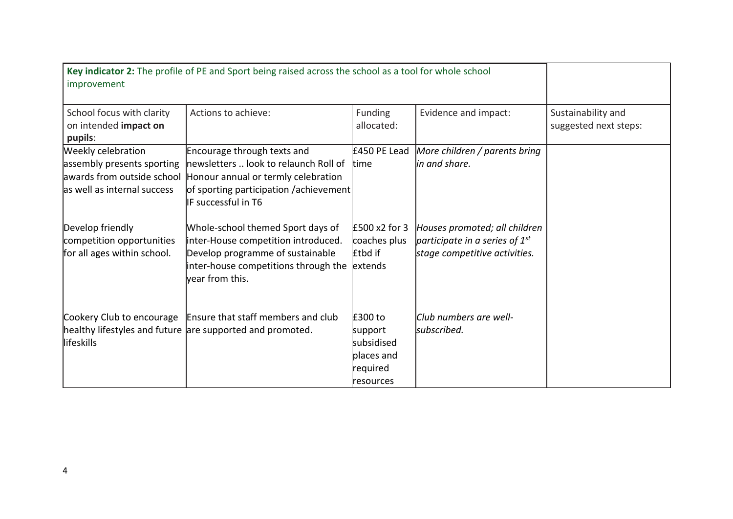| improvement                                                                                                   | Key indicator 2: The profile of PE and Sport being raised across the school as a tool for whole school                                                                          |                                                                         |                                                                                                       |                                             |
|---------------------------------------------------------------------------------------------------------------|---------------------------------------------------------------------------------------------------------------------------------------------------------------------------------|-------------------------------------------------------------------------|-------------------------------------------------------------------------------------------------------|---------------------------------------------|
| School focus with clarity<br>on intended impact on<br>pupils:                                                 | Actions to achieve:                                                                                                                                                             | Funding<br>allocated:                                                   | Evidence and impact:                                                                                  | Sustainability and<br>suggested next steps: |
| Weekly celebration<br>assembly presents sporting<br>awards from outside school<br>as well as internal success | Encourage through texts and<br>newsletters  look to relaunch Roll of<br>Honour annual or termly celebration<br>of sporting participation /achievement<br>IF successful in T6    | £450 PE Lead<br><b>t</b> ime                                            | More children / parents bring<br>in and share.                                                        |                                             |
| Develop friendly<br>competition opportunities<br>for all ages within school.                                  | Whole-school themed Sport days of<br>inter-House competition introduced.<br>Develop programme of sustainable<br>inter-house competitions through the extends<br>vear from this. | $E500x2$ for 3<br>coaches plus<br><b>Etbd</b> if                        | Houses promoted; all children<br>participate in a series of $1^{st}$<br>stage competitive activities. |                                             |
| llifeskills                                                                                                   | Cookery Club to encourage   Ensure that staff members and club<br>healthy lifestyles and future are supported and promoted.                                                     | £300 to<br>support<br>subsidised<br>places and<br>required<br>resources | Club numbers are well-<br>subscribed.                                                                 |                                             |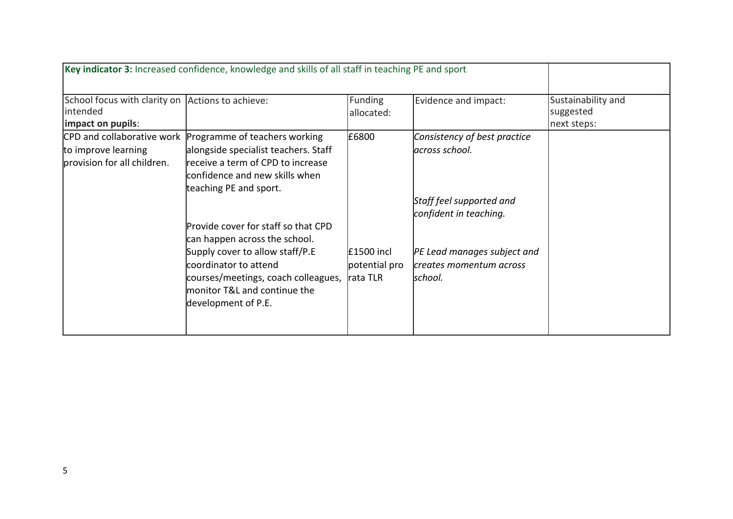|                                                              | Key indicator 3: Increased confidence, knowledge and skills of all staff in teaching PE and sport                                                      |                                         |                                                                    |                                 |
|--------------------------------------------------------------|--------------------------------------------------------------------------------------------------------------------------------------------------------|-----------------------------------------|--------------------------------------------------------------------|---------------------------------|
| School focus with clarity on Actions to achieve:<br>intended |                                                                                                                                                        | Funding<br>allocated:                   | Evidence and impact:                                               | Sustainability and<br>suggested |
| impact on pupils:                                            |                                                                                                                                                        |                                         |                                                                    | next steps:                     |
| to improve learning                                          | CPD and collaborative work Programme of teachers working<br>alongside specialist teachers. Staff                                                       | £6800                                   | Consistency of best practice<br>across school.                     |                                 |
| provision for all children.                                  | receive a term of CPD to increase<br>confidence and new skills when<br>teaching PE and sport.                                                          |                                         |                                                                    |                                 |
|                                                              |                                                                                                                                                        |                                         | Staff feel supported and<br>confident in teaching.                 |                                 |
|                                                              | Provide cover for staff so that CPD<br>can happen across the school.                                                                                   |                                         |                                                                    |                                 |
|                                                              | Supply cover to allow staff/P.E<br>coordinator to attend<br>courses/meetings, coach colleagues,<br>monitor T&L and continue the<br>development of P.E. | £1500 incl<br>potential pro<br>rata TLR | PE Lead manages subject and<br>creates momentum across<br>lschool. |                                 |
|                                                              |                                                                                                                                                        |                                         |                                                                    |                                 |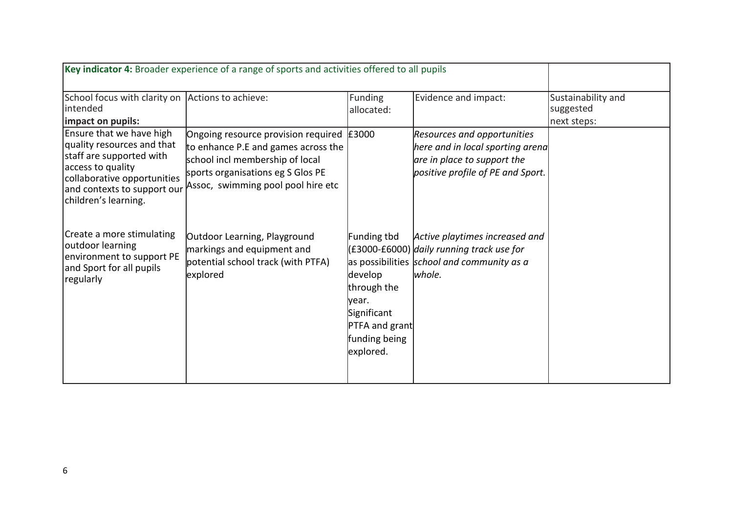|                                                                                                                                                                                               | Key indicator 4: Broader experience of a range of sports and activities offered to all pupils                                                                                                  |                                                                                                                       |                                                                                                                                            |                                                |
|-----------------------------------------------------------------------------------------------------------------------------------------------------------------------------------------------|------------------------------------------------------------------------------------------------------------------------------------------------------------------------------------------------|-----------------------------------------------------------------------------------------------------------------------|--------------------------------------------------------------------------------------------------------------------------------------------|------------------------------------------------|
| School focus with clarity on Actions to achieve:<br>intended<br>impact on pupils:                                                                                                             |                                                                                                                                                                                                | <b>Funding</b><br>allocated:                                                                                          | Evidence and impact:                                                                                                                       | Sustainability and<br>suggested<br>next steps: |
| Ensure that we have high<br>quality resources and that<br>staff are supported with<br>access to quality<br>collaborative opportunities<br>and contexts to support our<br>children's learning. | Ongoing resource provision required E3000<br>to enhance P.E and games across the<br>school incl membership of local<br>sports organisations eg S Glos PE<br>Assoc, swimming pool pool hire etc |                                                                                                                       | <b>Resources and opportunities</b><br>here and in local sporting arena<br>are in place to support the<br>positive profile of PE and Sport. |                                                |
| Create a more stimulating<br>outdoor learning<br>environment to support PE<br>and Sport for all pupils<br>regularly                                                                           | Outdoor Learning, Playground<br>markings and equipment and<br>potential school track (with PTFA)<br>explored                                                                                   | Funding tbd<br>develop<br>through the<br>lyear.<br>Significant<br><b>PTFA</b> and grant<br>funding being<br>explored. | Active playtimes increased and<br>$(£3000-E6000)$ daily running track use for<br>as possibilities school and community as a<br>whole.      |                                                |